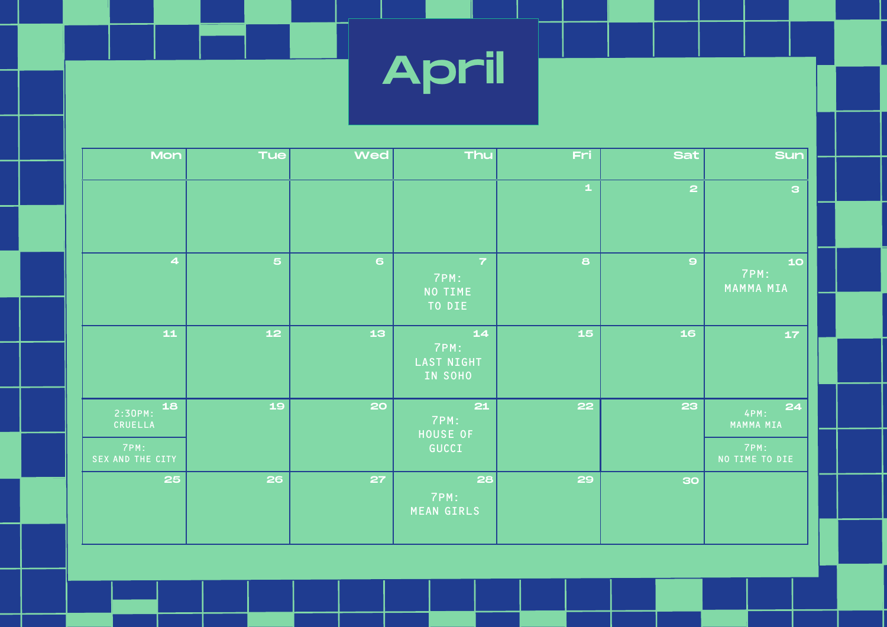April

| Mon                      | <b>Tue</b>      | <b>Wed</b>                                     | Thu                                          | Fri         | <b>Sat</b>              | <b>Sun</b>              |                         |
|--------------------------|-----------------|------------------------------------------------|----------------------------------------------|-------------|-------------------------|-------------------------|-------------------------|
|                          |                 |                                                |                                              | $\mathbf 1$ | $\overline{\mathbf{c}}$ | $\mathbf{B}$            |                         |
| $\overline{\mathbf{4}}$  | 5 <sub>1</sub>  | 6                                              | $\overline{7}$<br>7PM:<br>NO TIME<br>TO DIE  | 8           | $\mathbf{Q}$            | 10<br>7PM:<br>MAMMA MIA |                         |
| $\mathbf{11}$            | 12 <sub>1</sub> | 13                                             | $14$<br>7PM:<br><b>LAST NIGHT</b><br>IN SOHO | 15          | 16                      | 17 <sub>1</sub>         |                         |
| 18<br>2:30PM:<br>CRUELLA | 19              | 20<br>7PM:<br><b>HOUSE OF</b><br>7PM:<br>GUCCI |                                              | 21          | 22                      | 23                      | 24<br>4PM:<br>MAMMA MIA |
| SEX AND THE CITY         |                 |                                                |                                              |             |                         | 7PM:<br>NO TIME TO DIE  |                         |
| 25                       | 26              | 27                                             | 28<br>7PM:<br><b>MEAN GIRLS</b>              | 29          | 30                      |                         |                         |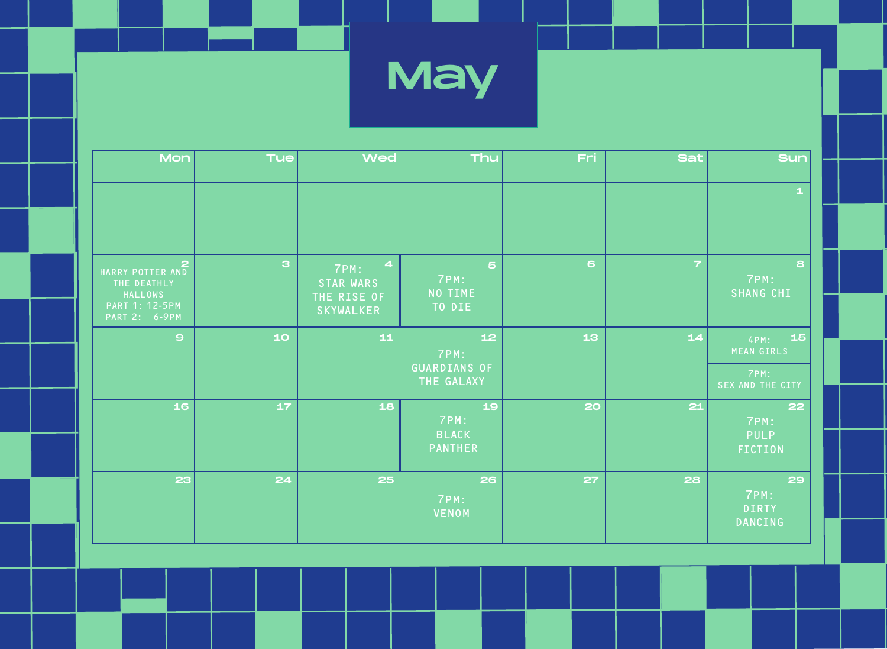

| Mon                                                                                         | <b>Tue</b>   | <b>Wed</b>                                                                             | Thu                                               | Fri | <b>Sat</b>     | <b>Sun</b>                                                  |
|---------------------------------------------------------------------------------------------|--------------|----------------------------------------------------------------------------------------|---------------------------------------------------|-----|----------------|-------------------------------------------------------------|
|                                                                                             |              |                                                                                        |                                                   |     |                | $\mathbf 1$                                                 |
| HARRY POTTER AND<br>THE DEATHLY<br><b>HALLOWS</b><br><b>PART 1: 12-5PM</b><br>PART 2: 6-9PM | $\mathbf{a}$ | $\overline{\mathbf{4}}$<br>7PM:<br><b>STAR WARS</b><br>THE RISE OF<br><b>SKYWALKER</b> | $\overline{5}$<br>7PM:<br>NO TIME<br>TO DIE       | 6   | $\overline{7}$ | $\mathbf{s}$<br>7PM:<br><b>SHANG CHI</b>                    |
| $\mathbf{9}$                                                                                | 10           | $\mathbf{11}$                                                                          | $12$<br>7PM:<br><b>GUARDIANS OF</b><br>THE GALAXY | 13  | $14$           | 15<br>4PM:<br><b>MEAN GIRLS</b><br>7PM:<br>SEX AND THE CITY |
| 16                                                                                          | 17           | 18                                                                                     | 19<br>7PM:<br><b>BLACK</b><br><b>PANTHER</b>      | 20  | 21             | 22<br>7PM:<br><b>PULP</b><br><b>FICTION</b>                 |
| 23                                                                                          | 24           | 25                                                                                     | 26<br>7PM:<br><b>VENOM</b>                        | 27  | 28             | 29<br>7PM:<br><b>DIRTY</b><br><b>DANCING</b>                |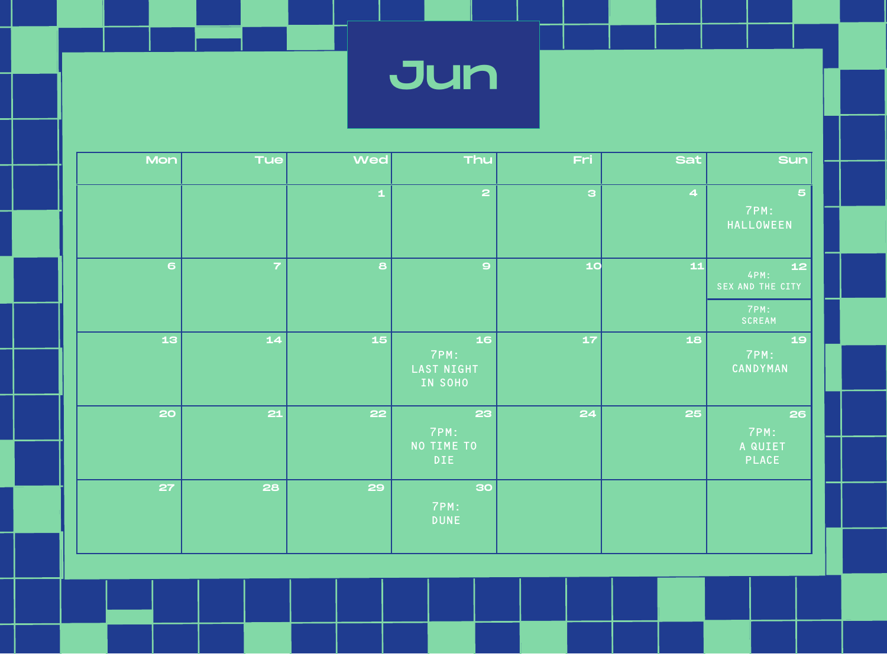Jun

| Mon            | <b>Tue</b>    | <b>Wed</b>  | Thu                                        | Fri          | <b>Sat</b>              | <b>Sun</b>                                       |
|----------------|---------------|-------------|--------------------------------------------|--------------|-------------------------|--------------------------------------------------|
|                |               | $\mathbf 1$ | $\overline{\mathbf{c}}$                    | $\mathbf{B}$ | $\overline{\mathbf{4}}$ | $\overline{5}$<br>7PM:<br>HALLOWEEN              |
| 6 <sup>1</sup> | 7             | 8           | $\circ$                                    | 10           | $\mathbf{11}$           | 12<br>4PM:<br>SEX AND THE CITY<br>7PM:<br>SCREAM |
| 13             | $\mathbf{14}$ | 15          | 16<br>7PM:<br><b>LAST NIGHT</b><br>IN SOHO | 17           | 18                      | 19<br>7PM:<br>CANDYMAN                           |
| 20             | 21            | 22          | 23<br>7PM:<br>NO TIME TO<br><b>DIE</b>     | 24           | 25                      | 26<br>7PM:<br>A QUIET<br><b>PLACE</b>            |
| 27             | 28            | 29          | 30<br>7PM:<br><b>DUNE</b>                  |              |                         |                                                  |